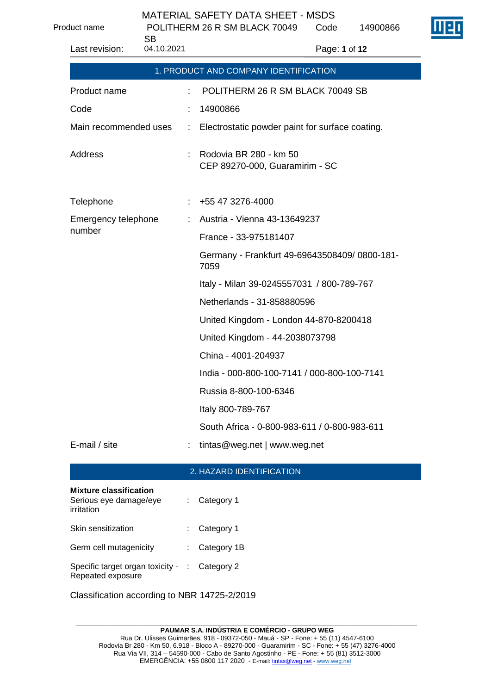Product name POLITHERM 26 R SM BLACK 70049

SB<br>04.40.0004

| 04.10.2021<br>Last revision: |                              | Page: 1 of 12                                            |
|------------------------------|------------------------------|----------------------------------------------------------|
|                              |                              | 1. PRODUCT AND COMPANY IDENTIFICATION                    |
| Product name                 |                              | POLITHERM 26 R SM BLACK 70049 SB                         |
| Code                         |                              | 14900866                                                 |
| Main recommended uses        | $\mathcal{L}_{\mathrm{max}}$ | Electrostatic powder paint for surface coating.          |
| Address                      | t                            | Rodovia BR 280 - km 50<br>CEP 89270-000, Guaramirim - SC |
| Telephone                    |                              | +55 47 3276-4000                                         |
| Emergency telephone          |                              | Austria - Vienna 43-13649237                             |
| number                       |                              | France - 33-975181407                                    |
|                              |                              | Germany - Frankfurt 49-69643508409/0800-181-<br>7059     |
|                              |                              | Italy - Milan 39-0245557031 / 800-789-767                |
|                              |                              | Netherlands - 31-858880596                               |
|                              |                              | United Kingdom - London 44-870-8200418                   |
|                              |                              | United Kingdom - 44-2038073798                           |
|                              |                              | China - 4001-204937                                      |
|                              |                              | India - 000-800-100-7141 / 000-800-100-7141              |
|                              |                              | Russia 8-800-100-6346                                    |

Italy 800-789-767

South Africa - 0-800-983-611 / 0-800-983-611

E-mail / site  $\qquad \qquad : \quad \text{tintas@weg.net} \mid$  www.weg.net

## 2. HAZARD IDENTIFICATION

| <b>Mixture classification</b><br>Serious eye damage/eye<br>irritation | $:$ Category 1          |
|-----------------------------------------------------------------------|-------------------------|
| Skin sensitization                                                    | $\therefore$ Category 1 |
| Germ cell mutagenicity                                                | : Category 1B           |
| Specific target organ toxicity - : Category 2<br>Repeated exposure    |                         |

Classification according to NBR 14725-2/2019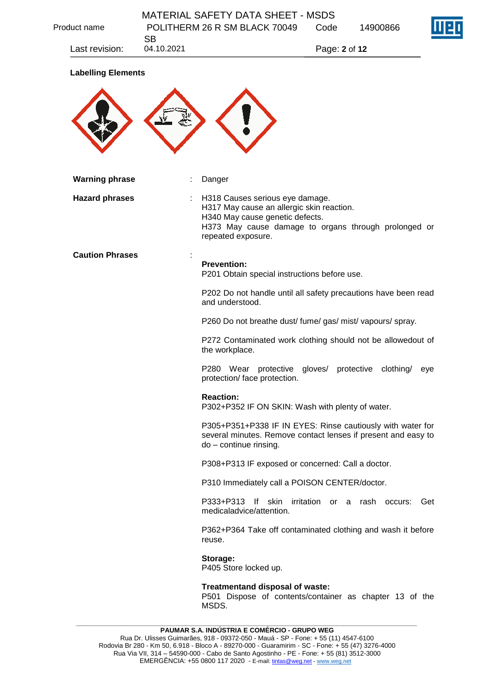| Product name              | SВ         | POLITHERM 26 R SM BLACK 70049                                                                                                                         | Code          | 14900866                            |
|---------------------------|------------|-------------------------------------------------------------------------------------------------------------------------------------------------------|---------------|-------------------------------------|
| Last revision:            | 04.10.2021 |                                                                                                                                                       | Page: 2 of 12 |                                     |
| <b>Labelling Elements</b> |            |                                                                                                                                                       |               |                                     |
|                           |            |                                                                                                                                                       |               |                                     |
|                           |            |                                                                                                                                                       |               |                                     |
|                           |            |                                                                                                                                                       |               |                                     |
| <b>Warning phrase</b>     |            | Danger                                                                                                                                                |               |                                     |
| <b>Hazard phrases</b>     |            |                                                                                                                                                       |               |                                     |
|                           |            | H318 Causes serious eye damage.<br>H317 May cause an allergic skin reaction.                                                                          |               |                                     |
|                           |            | H340 May cause genetic defects.<br>H373 May cause damage to organs through prolonged or<br>repeated exposure.                                         |               |                                     |
| <b>Caution Phrases</b>    |            |                                                                                                                                                       |               |                                     |
|                           |            | <b>Prevention:</b><br>P201 Obtain special instructions before use.                                                                                    |               |                                     |
|                           |            | P202 Do not handle until all safety precautions have been read<br>and understood.                                                                     |               |                                     |
|                           |            | P260 Do not breathe dust/ fume/ gas/ mist/ vapours/ spray.                                                                                            |               |                                     |
|                           |            | P272 Contaminated work clothing should not be allowedout of<br>the workplace.                                                                         |               |                                     |
|                           |            | P280 Wear protective gloves/<br>protection/ face protection.                                                                                          |               | protective<br>clothing/<br>eye      |
|                           |            | <b>Reaction:</b><br>P302+P352 IF ON SKIN: Wash with plenty of water.                                                                                  |               |                                     |
|                           |            | P305+P351+P338 IF IN EYES: Rinse cautiously with water for<br>several minutes. Remove contact lenses if present and easy to<br>do - continue rinsing. |               |                                     |
|                           |            | P308+P313 IF exposed or concerned: Call a doctor.                                                                                                     |               |                                     |
|                           |            | P310 Immediately call a POISON CENTER/doctor.                                                                                                         |               |                                     |
|                           |            | P333+P313<br>lf skin<br>medicaladvice/attention.                                                                                                      |               | irritation or a rash occurs:<br>Get |
|                           |            | P362+P364 Take off contaminated clothing and wash it before<br>reuse.                                                                                 |               |                                     |
|                           |            | Storage:<br>P405 Store locked up.                                                                                                                     |               |                                     |
|                           |            | Treatmentand disposal of waste:<br>P501 Dispose of contents/container as chapter 13 of the                                                            |               |                                     |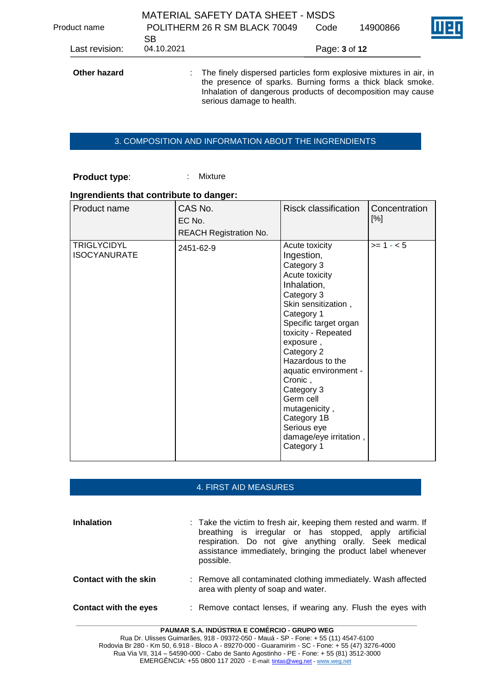| Product name   | SB.        | <b>MATERIAL SAFETY DATA SHEET - MSDS</b><br>POLITHERM 26 R SM BLACK 70049                                                                                                                                                     | Code          | 14900866 |  |
|----------------|------------|-------------------------------------------------------------------------------------------------------------------------------------------------------------------------------------------------------------------------------|---------------|----------|--|
| Last revision: | 04.10.2021 |                                                                                                                                                                                                                               | Page: 3 of 12 |          |  |
| Other hazard   |            | : The finely dispersed particles form explosive mixtures in air, in<br>the presence of sparks. Burning forms a thick black smoke.<br>Inhalation of dangerous products of decomposition may cause<br>serious damage to health. |               |          |  |

### 3. COMPOSITION AND INFORMATION ABOUT THE INGRENDIENTS

### **Product type:** : Mixture

#### **Ingrendients that contribute to danger:**

| Product name                              | CAS No.<br>EC No.<br><b>REACH Registration No.</b> | <b>Risck classification</b>                                                                                                                                                                                                                                                                                                                                                         | Concentration<br>[%] |
|-------------------------------------------|----------------------------------------------------|-------------------------------------------------------------------------------------------------------------------------------------------------------------------------------------------------------------------------------------------------------------------------------------------------------------------------------------------------------------------------------------|----------------------|
| <b>TRIGLYCIDYL</b><br><b>ISOCYANURATE</b> | 2451-62-9                                          | Acute toxicity<br>Ingestion,<br>Category 3<br>Acute toxicity<br>Inhalation,<br>Category 3<br>Skin sensitization,<br>Category 1<br>Specific target organ<br>toxicity - Repeated<br>exposure,<br>Category 2<br>Hazardous to the<br>aquatic environment -<br>Cronic,<br>Category 3<br>Germ cell<br>mutagenicity,<br>Category 1B<br>Serious eye<br>damage/eye irritation,<br>Category 1 | $>= 1 - 5$           |

### 4. FIRST AID MEASURES

**Inhalation** : Take the victim to fresh air, keeping them rested and warm. If breathing is irregular or has stopped, apply artificial respiration. Do not give anything orally. Seek medical assistance immediately, bringing the product label whenever possible. **Contact with the skin** : Remove all contaminated clothing immediately. Wash affected area with plenty of soap and water. **Contact with the eyes** : Remove contact lenses, if wearing any. Flush the eyes with

**PAUMAR S.A. INDÚSTRIA E COMÉRCIO - GRUPO WEG** Rua Dr. Ulisses Guimarães, 918 - 09372-050 - Mauá - SP - Fone: + 55 (11) 4547-6100 Rodovia Br 280 - Km 50, 6.918 - Bloco A - 89270-000 - Guaramirim - SC - Fone: + 55 (47) 3276-4000 Rua Via VII, 314 – 54590-000 - Cabo de Santo Agostinho - PE - Fone: + 55 (81) 3512-3000 EMERGÊNCIA: +55 0800 117 2020 - E-mail[: tintas@weg.net](mailto:tintas@weg.net) - [www.weg.net](http://www.weg.net/)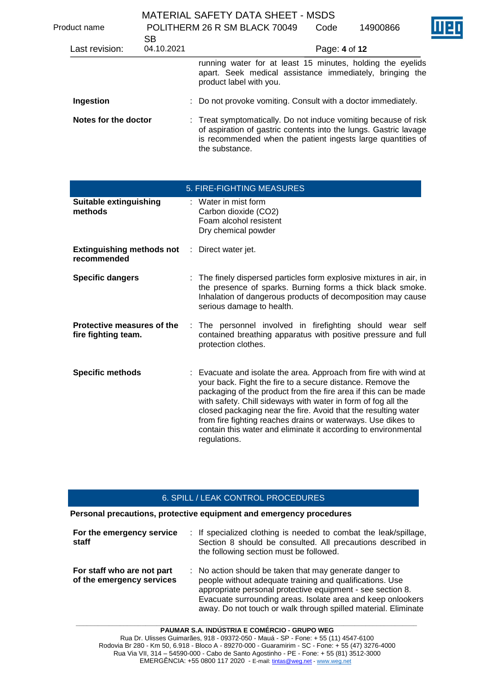|                      |    |                                                   | <b>MATERIAL SAFETY DATA SHEET - MSDS</b>                                                                                                                                                                             |  |
|----------------------|----|---------------------------------------------------|----------------------------------------------------------------------------------------------------------------------------------------------------------------------------------------------------------------------|--|
| Product name         |    | POLITHERM 26 R SM BLACK 70049<br>Code<br>14900866 |                                                                                                                                                                                                                      |  |
|                      | SВ |                                                   |                                                                                                                                                                                                                      |  |
| Last revision:       |    | 04.10.2021                                        | Page: 4 of 12                                                                                                                                                                                                        |  |
|                      |    |                                                   | running water for at least 15 minutes, holding the eyelids<br>apart. Seek medical assistance immediately, bringing the<br>product label with you.                                                                    |  |
| Ingestion            |    |                                                   | : Do not provoke vomiting. Consult with a doctor immediately.                                                                                                                                                        |  |
| Notes for the doctor |    |                                                   | : Treat symptomatically. Do not induce vomiting because of risk<br>of aspiration of gastric contents into the lungs. Gastric lavage<br>is recommended when the patient ingests large quantities of<br>the substance. |  |

|                                                                     | 5. FIRE-FIGHTING MEASURES                                                                                                                                                                                                                                                                                                                                                                                                                                                              |
|---------------------------------------------------------------------|----------------------------------------------------------------------------------------------------------------------------------------------------------------------------------------------------------------------------------------------------------------------------------------------------------------------------------------------------------------------------------------------------------------------------------------------------------------------------------------|
| Suitable extinguishing<br>methods                                   | $\therefore$ Water in mist form<br>Carbon dioxide (CO2)<br>Foam alcohol resistent<br>Dry chemical powder                                                                                                                                                                                                                                                                                                                                                                               |
| <b>Extinguishing methods not</b> : Direct water jet.<br>recommended |                                                                                                                                                                                                                                                                                                                                                                                                                                                                                        |
| <b>Specific dangers</b>                                             | : The finely dispersed particles form explosive mixtures in air, in<br>the presence of sparks. Burning forms a thick black smoke.<br>Inhalation of dangerous products of decomposition may cause<br>serious damage to health.                                                                                                                                                                                                                                                          |
| Protective measures of the<br>fire fighting team.                   | The personnel involved in firefighting should wear self<br>contained breathing apparatus with positive pressure and full<br>protection clothes.                                                                                                                                                                                                                                                                                                                                        |
| <b>Specific methods</b>                                             | : Evacuate and isolate the area. Approach from fire with wind at<br>your back. Fight the fire to a secure distance. Remove the<br>packaging of the product from the fire area if this can be made<br>with safety. Chill sideways with water in form of fog all the<br>closed packaging near the fire. Avoid that the resulting water<br>from fire fighting reaches drains or waterways. Use dikes to<br>contain this water and eliminate it according to environmental<br>regulations. |

### 6. SPILL / LEAK CONTROL PROCEDURES

**Personal precautions, protective equipment and emergency procedures**

| For the emergency service<br>staff                      | : If specialized clothing is needed to combat the leak/spillage,<br>Section 8 should be consulted. All precautions described in<br>the following section must be followed.                                                                                                                                         |
|---------------------------------------------------------|--------------------------------------------------------------------------------------------------------------------------------------------------------------------------------------------------------------------------------------------------------------------------------------------------------------------|
| For staff who are not part<br>of the emergency services | : No action should be taken that may generate danger to<br>people without adequate training and qualifications. Use<br>appropriate personal protective equipment - see section 8.<br>Evacuate surrounding areas. Isolate area and keep onlookers<br>away. Do not touch or walk through spilled material. Eliminate |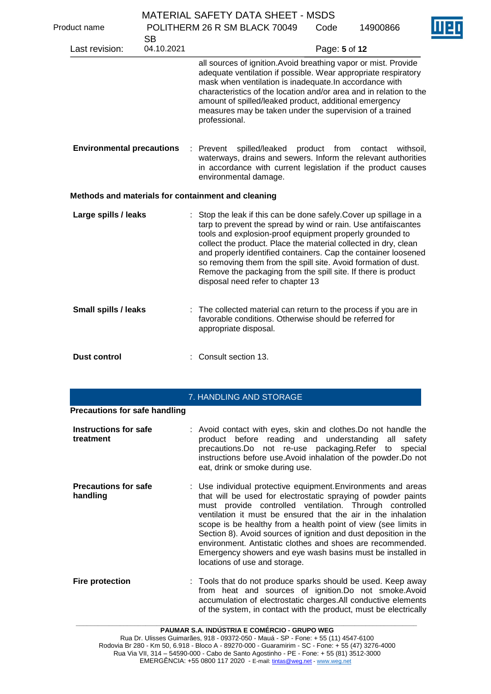|                                  |                         | <b>MATERIAL SAFETY DATA SHEET - MSDS</b>                                                                                                                                                                                                                                                                                                                                                                                                                                                                      |               |                      |  |
|----------------------------------|-------------------------|---------------------------------------------------------------------------------------------------------------------------------------------------------------------------------------------------------------------------------------------------------------------------------------------------------------------------------------------------------------------------------------------------------------------------------------------------------------------------------------------------------------|---------------|----------------------|--|
| Product name                     |                         | POLITHERM 26 R SM BLACK 70049                                                                                                                                                                                                                                                                                                                                                                                                                                                                                 | Code          | 14900866             |  |
| Last revision:                   | <b>SB</b><br>04.10.2021 |                                                                                                                                                                                                                                                                                                                                                                                                                                                                                                               | Page: 5 of 12 |                      |  |
|                                  |                         | all sources of ignition. Avoid breathing vapor or mist. Provide<br>adequate ventilation if possible. Wear appropriate respiratory<br>mask when ventilation is inadequate. In accordance with<br>characteristics of the location and/or area and in relation to the<br>amount of spilled/leaked product, additional emergency<br>measures may be taken under the supervision of a trained<br>professional.                                                                                                     |               |                      |  |
| <b>Environmental precautions</b> |                         | : Prevent<br>spilled/leaked<br>waterways, drains and sewers. Inform the relevant authorities<br>in accordance with current legislation if the product causes<br>environmental damage.                                                                                                                                                                                                                                                                                                                         | product from  | contact<br>withsoil. |  |
|                                  |                         | Methods and materials for containment and cleaning                                                                                                                                                                                                                                                                                                                                                                                                                                                            |               |                      |  |
| Large spills / leaks             |                         | : Stop the leak if this can be done safely. Cover up spillage in a<br>tarp to prevent the spread by wind or rain. Use antifaiscantes<br>tools and explosion-proof equipment properly grounded to<br>collect the product. Place the material collected in dry, clean<br>and properly identified containers. Cap the container loosened<br>so removing them from the spill site. Avoid formation of dust.<br>Remove the packaging from the spill site. If there is product<br>disposal need refer to chapter 13 |               |                      |  |
| <b>Small spills / leaks</b>      |                         | The collected material can return to the process if you are in<br>favorable conditions. Otherwise should be referred for<br>appropriate disposal.                                                                                                                                                                                                                                                                                                                                                             |               |                      |  |
| <b>Dust control</b>              |                         | Consult section 13.                                                                                                                                                                                                                                                                                                                                                                                                                                                                                           |               |                      |  |

# 7. HANDLING AND STORAGE

| <b>Instructions for safe</b><br>treatment | : Avoid contact with eyes, skin and clothes. Do not handle the<br>product before reading and understanding all safety<br>precautions. Do not re-use packaging. Refer to special<br>instructions before use. Avoid inhalation of the powder. Do not<br>eat, drink or smoke during use.                                                                                                                                                                                                                                                                         |
|-------------------------------------------|---------------------------------------------------------------------------------------------------------------------------------------------------------------------------------------------------------------------------------------------------------------------------------------------------------------------------------------------------------------------------------------------------------------------------------------------------------------------------------------------------------------------------------------------------------------|
| <b>Precautions for safe</b><br>handling   | : Use individual protective equipment. Environments and areas<br>that will be used for electrostatic spraying of powder paints<br>must provide controlled ventilation. Through controlled<br>ventilation it must be ensured that the air in the inhalation<br>scope is be healthy from a health point of view (see limits in<br>Section 8). Avoid sources of ignition and dust deposition in the<br>environment. Antistatic clothes and shoes are recommended.<br>Emergency showers and eye wash basins must be installed in<br>locations of use and storage. |
| <b>Fire protection</b>                    | : Tools that do not produce sparks should be used. Keep away<br>from heat and sources of ignition.Do not smoke.Avoid<br>accumulation of electrostatic charges. All conductive elements<br>of the system, in contact with the product, must be electrically                                                                                                                                                                                                                                                                                                    |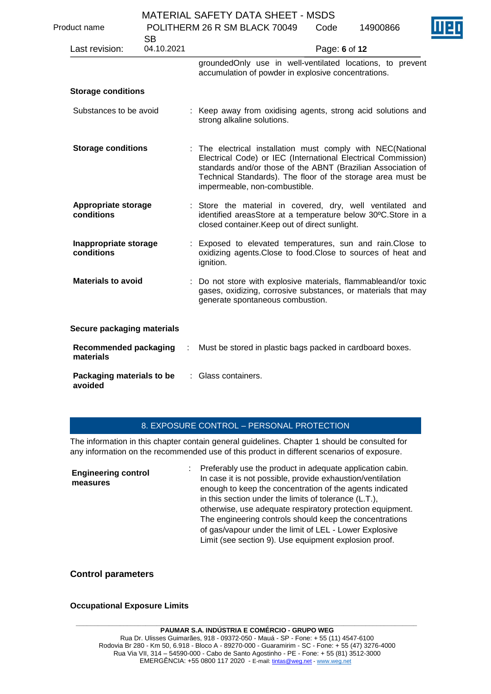|                                           |            |   | MATERIAL SAFETT DATA SHEET - MSDS                                                                                                                                                                                                                                                            |               |          |  |
|-------------------------------------------|------------|---|----------------------------------------------------------------------------------------------------------------------------------------------------------------------------------------------------------------------------------------------------------------------------------------------|---------------|----------|--|
| Product name                              | <b>SB</b>  |   | POLITHERM 26 R SM BLACK 70049                                                                                                                                                                                                                                                                | Code          | 14900866 |  |
| Last revision:                            | 04.10.2021 |   |                                                                                                                                                                                                                                                                                              | Page: 6 of 12 |          |  |
|                                           |            |   | groundedOnly use in well-ventilated locations, to prevent<br>accumulation of powder in explosive concentrations.                                                                                                                                                                             |               |          |  |
| <b>Storage conditions</b>                 |            |   |                                                                                                                                                                                                                                                                                              |               |          |  |
| Substances to be avoid                    |            |   | : Keep away from oxidising agents, strong acid solutions and<br>strong alkaline solutions.                                                                                                                                                                                                   |               |          |  |
| <b>Storage conditions</b>                 |            |   | : The electrical installation must comply with NEC(National<br>Electrical Code) or IEC (International Electrical Commission)<br>standards and/or those of the ABNT (Brazilian Association of<br>Technical Standards). The floor of the storage area must be<br>impermeable, non-combustible. |               |          |  |
| <b>Appropriate storage</b><br>conditions  |            |   | : Store the material in covered, dry, well ventilated and<br>identified areasStore at a temperature below 30°C.Store in a<br>closed container. Keep out of direct sunlight.                                                                                                                  |               |          |  |
| Inappropriate storage<br>conditions       |            |   | : Exposed to elevated temperatures, sun and rain. Close to<br>oxidizing agents. Close to food. Close to sources of heat and<br>ignition.                                                                                                                                                     |               |          |  |
| <b>Materials to avoid</b>                 |            |   | : Do not store with explosive materials, flammableand/or toxic<br>gases, oxidizing, corrosive substances, or materials that may<br>generate spontaneous combustion.                                                                                                                          |               |          |  |
| Secure packaging materials                |            |   |                                                                                                                                                                                                                                                                                              |               |          |  |
| <b>Recommended packaging</b><br>materials |            | ÷ | Must be stored in plastic bags packed in cardboard boxes.                                                                                                                                                                                                                                    |               |          |  |
| Packaging materials to be<br>avoided      |            |   | Glass containers.                                                                                                                                                                                                                                                                            |               |          |  |

## 8. EXPOSURE CONTROL – PERSONAL PROTECTION

The information in this chapter contain general guidelines. Chapter 1 should be consulted for any information on the recommended use of this product in different scenarios of exposure.

| Preferably use the product in adequate application cabin.<br><b>Engineering control</b><br>measures | In case it is not possible, provide exhaustion/ventilation<br>enough to keep the concentration of the agents indicated<br>in this section under the limits of tolerance (L.T.),<br>otherwise, use adequate respiratory protection equipment.<br>The engineering controls should keep the concentrations<br>of gas/vapour under the limit of LEL - Lower Explosive<br>Limit (see section 9). Use equipment explosion proof. |
|-----------------------------------------------------------------------------------------------------|----------------------------------------------------------------------------------------------------------------------------------------------------------------------------------------------------------------------------------------------------------------------------------------------------------------------------------------------------------------------------------------------------------------------------|
|-----------------------------------------------------------------------------------------------------|----------------------------------------------------------------------------------------------------------------------------------------------------------------------------------------------------------------------------------------------------------------------------------------------------------------------------------------------------------------------------------------------------------------------------|

# **Control parameters**

## **Occupational Exposure Limits**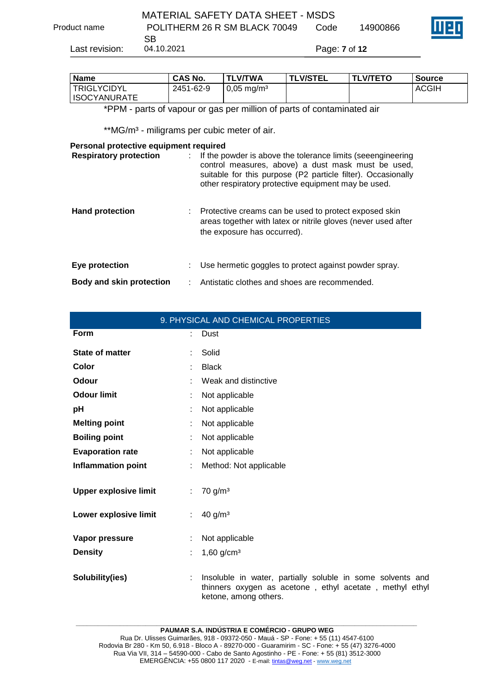|                | MATERIAL SAFETY DATA SHEET - MSDS |               |          |  |
|----------------|-----------------------------------|---------------|----------|--|
| Product name   | POLITHERM 26 R SM BLACK 70049     | Code          | 14900866 |  |
|                | SB.                               |               |          |  |
| Last revision: | 04.10.2021                        | Page: 7 of 12 |          |  |

| <b>Name</b>         | <b>CAS No.</b> | <b>TLV/TWA</b>           | <b>TLV/STEL</b> | <b>ITLV/TETO</b> | <b>Source</b> |
|---------------------|----------------|--------------------------|-----------------|------------------|---------------|
| <b>ITRIGLYCIDYL</b> | 2451-62-9      | $0.05 \,\mathrm{mg/m^3}$ |                 |                  | <b>ACGIH</b>  |
| <b>ISOCYANURATE</b> |                |                          |                 |                  |               |

\*PPM - parts of vapour or gas per million of parts of contaminated air

\*\* MG/m<sup>3</sup> - miligrams per cubic meter of air.

#### **Personal protective equipment required**

| <b>Respiratory protection</b>   | If the powder is above the tolerance limits (seeengineering<br>control measures, above) a dust mask must be used,<br>suitable for this purpose (P2 particle filter). Occasionally<br>other respiratory protective equipment may be used. |
|---------------------------------|------------------------------------------------------------------------------------------------------------------------------------------------------------------------------------------------------------------------------------------|
| <b>Hand protection</b>          | Protective creams can be used to protect exposed skin<br>areas together with latex or nitrile gloves (never used after<br>the exposure has occurred).                                                                                    |
| Eye protection                  | Use hermetic goggles to protect against powder spray.                                                                                                                                                                                    |
| <b>Body and skin protection</b> | Antistatic clothes and shoes are recommended.                                                                                                                                                                                            |

|                              | 9. PHYSICAL AND CHEMICAL PROPERTIES                                                                                                            |
|------------------------------|------------------------------------------------------------------------------------------------------------------------------------------------|
| <b>Form</b>                  | Dust                                                                                                                                           |
| <b>State of matter</b>       | Solid                                                                                                                                          |
| Color                        | <b>Black</b>                                                                                                                                   |
| Odour                        | Weak and distinctive                                                                                                                           |
| <b>Odour limit</b>           | Not applicable                                                                                                                                 |
| pH                           | Not applicable                                                                                                                                 |
| <b>Melting point</b>         | Not applicable<br>÷                                                                                                                            |
| <b>Boiling point</b>         | Not applicable                                                                                                                                 |
| <b>Evaporation rate</b>      | Not applicable                                                                                                                                 |
| <b>Inflammation point</b>    | Method: Not applicable<br>÷.                                                                                                                   |
| <b>Upper explosive limit</b> | $70$ g/m <sup>3</sup><br>÷.                                                                                                                    |
| Lower explosive limit        | 40 g/m <sup>3</sup><br>÷.                                                                                                                      |
| Vapor pressure               | Not applicable                                                                                                                                 |
| <b>Density</b>               | $1,60$ g/cm <sup>3</sup>                                                                                                                       |
| Solubility(ies)              | Insoluble in water, partially soluble in some solvents and<br>thinners oxygen as acetone, ethyl acetate, methyl ethyl<br>ketone, among others. |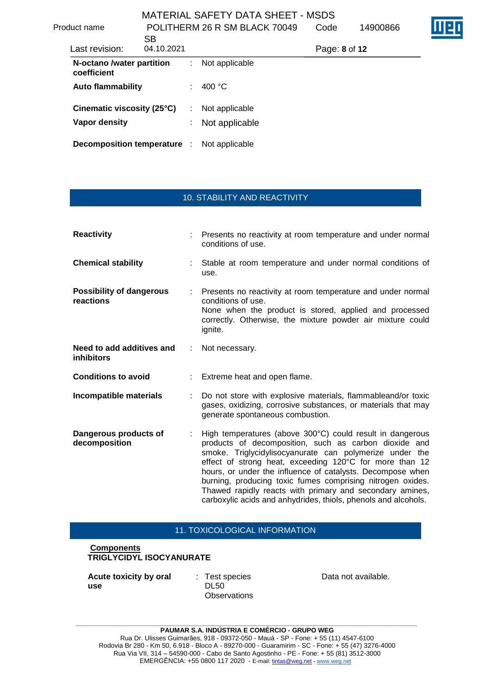| Product name                             | <b>SB</b>  |   | POLITHERM 26 R SM BLACK 70049 | Code          | 14900866 |  |
|------------------------------------------|------------|---|-------------------------------|---------------|----------|--|
| Last revision:                           | 04.10.2021 |   |                               | Page: 8 of 12 |          |  |
| N-octano /water partition<br>coefficient |            |   | Not applicable                |               |          |  |
| <b>Auto flammability</b>                 |            | ÷ | 400 $\degree$ C               |               |          |  |
| Cinematic viscosity (25°C)               |            | ÷ | Not applicable                |               |          |  |
| Vapor density                            |            | ÷ | Not applicable                |               |          |  |
| <b>Decomposition temperature</b>         |            |   | Not applicable                |               |          |  |

### 10. STABILITY AND REACTIVITY

| <b>Reactivity</b>                              |    | Presents no reactivity at room temperature and under normal<br>conditions of use.                                                                                                                                                                                                                                                                                                                                                                                                                  |
|------------------------------------------------|----|----------------------------------------------------------------------------------------------------------------------------------------------------------------------------------------------------------------------------------------------------------------------------------------------------------------------------------------------------------------------------------------------------------------------------------------------------------------------------------------------------|
| <b>Chemical stability</b>                      |    | Stable at room temperature and under normal conditions of<br>use.                                                                                                                                                                                                                                                                                                                                                                                                                                  |
| <b>Possibility of dangerous</b><br>reactions   |    | Presents no reactivity at room temperature and under normal<br>conditions of use.<br>None when the product is stored, applied and processed<br>correctly. Otherwise, the mixture powder air mixture could<br>ignite.                                                                                                                                                                                                                                                                               |
| Need to add additives and<br><b>inhibitors</b> | ÷. | Not necessary.                                                                                                                                                                                                                                                                                                                                                                                                                                                                                     |
| <b>Conditions to avoid</b>                     |    | Extreme heat and open flame.                                                                                                                                                                                                                                                                                                                                                                                                                                                                       |
| Incompatible materials                         |    | Do not store with explosive materials, flammableand/or toxic<br>gases, oxidizing, corrosive substances, or materials that may<br>generate spontaneous combustion.                                                                                                                                                                                                                                                                                                                                  |
| Dangerous products of<br>decomposition         |    | High temperatures (above 300°C) could result in dangerous<br>products of decomposition, such as carbon dioxide and<br>smoke. Triglycidylisocyanurate can polymerize under the<br>effect of strong heat, exceeding 120°C for more than 12<br>hours, or under the influence of catalysts. Decompose when<br>burning, producing toxic fumes comprising nitrogen oxides.<br>Thawed rapidly reacts with primary and secondary amines,<br>carboxylic acids and anhydrides, thiols, phenols and alcohols. |

#### 11. TOXICOLOGICAL INFORMATION

### **Components TRIGLYCIDYL ISOCYANURATE**

**Acute toxicity by oral use**

: Test species DL50 **Observations**  Data not available.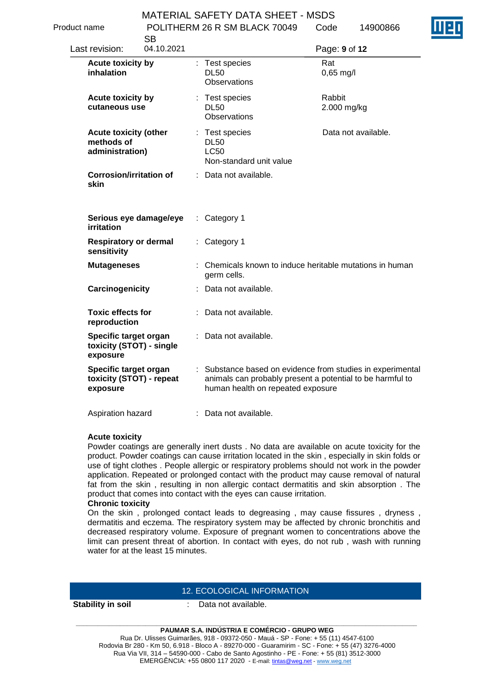Code 1400086

Product name POLITHERM 26 R SM BLACK 70049

| uuvu namu                                                     | <b>SB</b>  | T OLITTLEINNI ZU IN ONI DEACH 70043                                     | 14900000                                                                                                                |
|---------------------------------------------------------------|------------|-------------------------------------------------------------------------|-------------------------------------------------------------------------------------------------------------------------|
| Last revision:                                                | 04.10.2021 |                                                                         | Page: 9 of 12                                                                                                           |
| <b>Acute toxicity by</b><br>inhalation                        |            | : Test species<br><b>DL50</b><br><b>Observations</b>                    | Rat<br>$0,65$ mg/l                                                                                                      |
| Acute toxicity by<br>cutaneous use                            |            | : Test species<br><b>DL50</b><br><b>Observations</b>                    | Rabbit<br>2.000 mg/kg                                                                                                   |
| <b>Acute toxicity (other</b><br>methods of<br>administration) |            | : Test species<br><b>DL50</b><br><b>LC50</b><br>Non-standard unit value | Data not available.                                                                                                     |
| <b>Corrosion/irritation of</b><br>skin                        |            | : Data not available.                                                   |                                                                                                                         |
| Serious eye damage/eye<br>irritation                          |            | Category 1<br>÷.                                                        |                                                                                                                         |
| <b>Respiratory or dermal</b><br>sensitivity                   |            | : Category 1                                                            |                                                                                                                         |
| <b>Mutageneses</b>                                            |            | germ cells.                                                             | : Chemicals known to induce heritable mutations in human                                                                |
| Carcinogenicity                                               |            | : Data not available.                                                   |                                                                                                                         |
| <b>Toxic effects for</b><br>reproduction                      |            | : Data not available.                                                   |                                                                                                                         |
| Specific target organ<br>toxicity (STOT) - single<br>exposure |            | : Data not available.                                                   |                                                                                                                         |
| Specific target organ<br>toxicity (STOT) - repeat<br>exposure |            | human health on repeated exposure                                       | : Substance based on evidence from studies in experimental<br>animals can probably present a potential to be harmful to |

Aspiration hazard : Data not available.

### **Acute toxicity**

Powder coatings are generally inert dusts . No data are available on acute toxicity for the product. Powder coatings can cause irritation located in the skin , especially in skin folds or use of tight clothes . People allergic or respiratory problems should not work in the powder application. Repeated or prolonged contact with the product may cause removal of natural fat from the skin , resulting in non allergic contact dermatitis and skin absorption . The product that comes into contact with the eyes can cause irritation.

#### **Chronic toxicity**

On the skin , prolonged contact leads to degreasing , may cause fissures , dryness , dermatitis and eczema. The respiratory system may be affected by chronic bronchitis and decreased respiratory volume. Exposure of pregnant women to concentrations above the limit can present threat of abortion. In contact with eyes, do not rub , wash with running water for at the least 15 minutes.

### 12. ECOLOGICAL INFORMATION

**Stability in soil** : Data not available.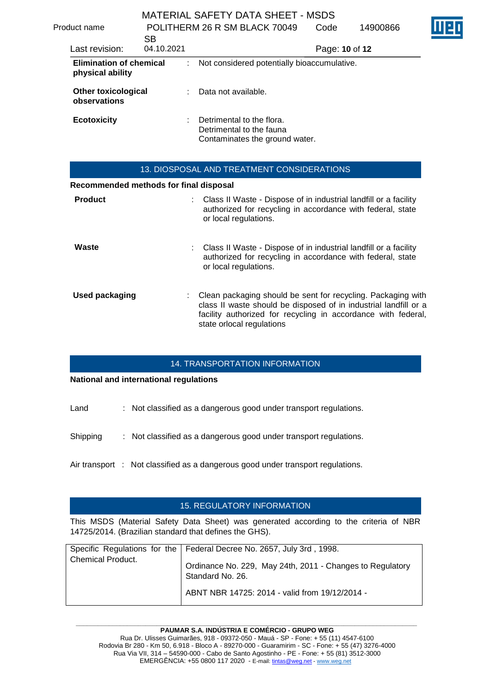| Product name                                       | <b>SB</b>  | POLITHERM 26 R SM BLACK 70049                                                           | Code           | 14900866 |  |
|----------------------------------------------------|------------|-----------------------------------------------------------------------------------------|----------------|----------|--|
| Last revision:                                     | 04.10.2021 |                                                                                         | Page: 10 of 12 |          |  |
| <b>Elimination of chemical</b><br>physical ability |            | Not considered potentially bioaccumulative.                                             |                |          |  |
| <b>Other toxicological</b><br>observations         |            | Data not available.                                                                     |                |          |  |
| <b>Ecotoxicity</b>                                 |            | Detrimental to the flora.<br>Detrimental to the fauna<br>Contaminates the ground water. |                |          |  |

|                                        | 13. DIOSPOSAL AND TREATMENT CONSIDERATIONS                                                                                                                                                                                     |
|----------------------------------------|--------------------------------------------------------------------------------------------------------------------------------------------------------------------------------------------------------------------------------|
| Recommended methods for final disposal |                                                                                                                                                                                                                                |
| <b>Product</b>                         | : Class II Waste - Dispose of in industrial landfill or a facility<br>authorized for recycling in accordance with federal, state<br>or local regulations.                                                                      |
| Waste                                  | : Class II Waste - Dispose of in industrial landfill or a facility<br>authorized for recycling in accordance with federal, state<br>or local regulations.                                                                      |
| <b>Used packaging</b>                  | Clean packaging should be sent for recycling. Packaging with<br>class II waste should be disposed of in industrial landfill or a<br>facility authorized for recycling in accordance with federal,<br>state orlocal regulations |

#### 14. TRANSPORTATION INFORMATION

### **National and international regulations**

Land : Not classified as a dangerous good under transport regulations.

Shipping : Not classified as a dangerous good under transport regulations.

Air transport : Not classified as a dangerous good under transport regulations.

### 15. REGULATORY INFORMATION

This MSDS (Material Safety Data Sheet) was generated according to the criteria of NBR 14725/2014. (Brazilian standard that defines the GHS).

|                          | Specific Regulations for the   Federal Decree No. 2657, July 3rd, 1998.       |
|--------------------------|-------------------------------------------------------------------------------|
| <b>Chemical Product.</b> | Ordinance No. 229, May 24th, 2011 - Changes to Regulatory<br>Standard No. 26. |
|                          | ABNT NBR 14725: 2014 - valid from 19/12/2014 -                                |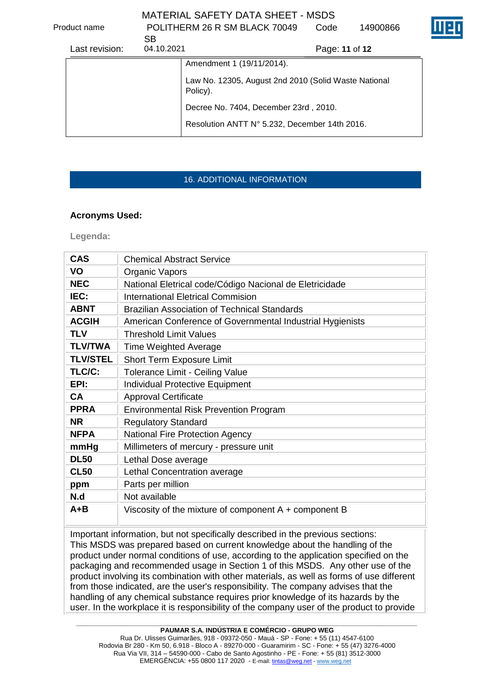Product name POLITHERM 26 R SM BLACK 70049

Code 14900866

| Last revision: | SВ<br>04.10.2021 | Page: 11 of 12                                                   |
|----------------|------------------|------------------------------------------------------------------|
|                |                  | Amendment 1 (19/11/2014).                                        |
|                |                  | Law No. 12305, August 2nd 2010 (Solid Waste National<br>Policy). |
|                |                  | Decree No. 7404, December 23rd, 2010.                            |
|                |                  | Resolution ANTT N° 5.232, December 14th 2016.                    |

# 16. ADDITIONAL INFORMATION

## **Acronyms Used:**

**Legenda:**

| <b>CAS</b>      | <b>Chemical Abstract Service</b>                          |  |  |  |  |  |
|-----------------|-----------------------------------------------------------|--|--|--|--|--|
| VO              | Organic Vapors                                            |  |  |  |  |  |
| <b>NEC</b>      | National Eletrical code/Código Nacional de Eletricidade   |  |  |  |  |  |
| IEC:            | <b>International Eletrical Commision</b>                  |  |  |  |  |  |
| <b>ABNT</b>     | <b>Brazilian Association of Technical Standards</b>       |  |  |  |  |  |
| <b>ACGIH</b>    | American Conference of Governmental Industrial Hygienists |  |  |  |  |  |
| <b>TLV</b>      | Threshold Limit Values                                    |  |  |  |  |  |
| <b>TLV/TWA</b>  | <b>Time Weighted Average</b>                              |  |  |  |  |  |
| <b>TLV/STEL</b> | <b>Short Term Exposure Limit</b>                          |  |  |  |  |  |
| TLC/C:          | <b>Tolerance Limit - Ceiling Value</b>                    |  |  |  |  |  |
| EPI:            | <b>Individual Protective Equipment</b>                    |  |  |  |  |  |
| CА              | <b>Approval Certificate</b>                               |  |  |  |  |  |
| <b>PPRA</b>     | <b>Environmental Risk Prevention Program</b>              |  |  |  |  |  |
| <b>NR</b>       | <b>Regulatory Standard</b>                                |  |  |  |  |  |
| <b>NFPA</b>     | <b>National Fire Protection Agency</b>                    |  |  |  |  |  |
| mmHg            | Millimeters of mercury - pressure unit                    |  |  |  |  |  |
| <b>DL50</b>     | Lethal Dose average                                       |  |  |  |  |  |
| <b>CL50</b>     | Lethal Concentration average                              |  |  |  |  |  |
| ppm             | Parts per million                                         |  |  |  |  |  |
| N.d             | Not available                                             |  |  |  |  |  |
| A+B             | Viscosity of the mixture of component $A +$ component B   |  |  |  |  |  |

Important information, but not specifically described in the previous sections: This MSDS was prepared based on current knowledge about the handling of the product under normal conditions of use, according to the application specified on the packaging and recommended usage in Section 1 of this MSDS. Any other use of the product involving its combination with other materials, as well as forms of use different from those indicated, are the user's responsibility. The company advises that the handling of any chemical substance requires prior knowledge of its hazards by the user. In the workplace it is responsibility of the company user of the product to provide

**\_\_\_\_\_\_\_\_\_\_\_\_\_\_\_\_\_\_\_\_\_\_\_\_\_\_\_\_\_\_\_\_\_\_\_\_\_\_\_\_\_\_\_\_\_\_\_\_\_\_\_\_\_\_\_\_\_\_\_\_\_\_\_\_\_\_\_\_\_\_\_\_\_\_\_\_\_\_\_\_\_\_\_\_\_\_\_\_\_\_\_\_\_ PAUMAR S.A. INDÚSTRIA E COMÉRCIO - GRUPO WEG**